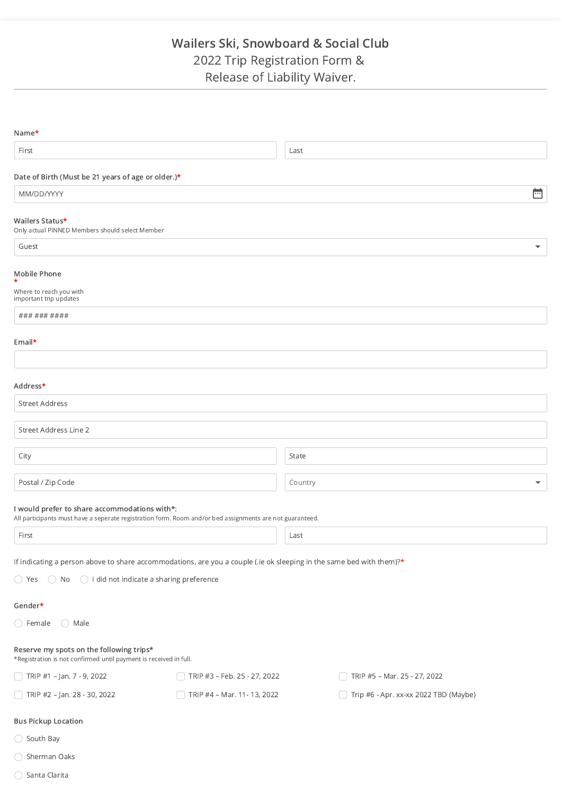# Wailers Ski, Snowboard & Social Club 2022 Trip Registration Form & Release of Liability Waiver.

| Name*                                                                                                         |                                                                                                                      |                                       |                          |  |  |
|---------------------------------------------------------------------------------------------------------------|----------------------------------------------------------------------------------------------------------------------|---------------------------------------|--------------------------|--|--|
| First                                                                                                         |                                                                                                                      | Last                                  |                          |  |  |
| Date of Birth (Must be 21 years of age or older.)*                                                            |                                                                                                                      |                                       |                          |  |  |
| MM/DD/YYYY                                                                                                    |                                                                                                                      |                                       | Ħ                        |  |  |
|                                                                                                               |                                                                                                                      |                                       |                          |  |  |
| Wailers Status*<br>Only actual PINNED Members should select Member                                            |                                                                                                                      |                                       |                          |  |  |
| Guest                                                                                                         |                                                                                                                      |                                       | $\overline{\phantom{0}}$ |  |  |
| Mobile Phone                                                                                                  |                                                                                                                      |                                       |                          |  |  |
| *<br>Where to reach you with                                                                                  |                                                                                                                      |                                       |                          |  |  |
| important trip updates                                                                                        |                                                                                                                      |                                       |                          |  |  |
| ### ### ####                                                                                                  |                                                                                                                      |                                       |                          |  |  |
| Email*                                                                                                        |                                                                                                                      |                                       |                          |  |  |
|                                                                                                               |                                                                                                                      |                                       |                          |  |  |
|                                                                                                               |                                                                                                                      |                                       |                          |  |  |
| Address*                                                                                                      |                                                                                                                      |                                       |                          |  |  |
| <b>Street Address</b>                                                                                         |                                                                                                                      |                                       |                          |  |  |
| Street Address Line 2                                                                                         |                                                                                                                      |                                       |                          |  |  |
| City                                                                                                          |                                                                                                                      | State                                 |                          |  |  |
|                                                                                                               |                                                                                                                      |                                       |                          |  |  |
| Postal / Zip Code                                                                                             |                                                                                                                      | Country                               |                          |  |  |
| I would prefer to share accommodations with*:                                                                 | All participants must have a seperate registration form. Room and/or bed assignments are not guaranteed.             |                                       |                          |  |  |
| First                                                                                                         |                                                                                                                      | Last                                  |                          |  |  |
|                                                                                                               |                                                                                                                      |                                       |                          |  |  |
|                                                                                                               | If indicating a person above to share accommodations, are you a couple (.ie ok sleeping in the same bed with them)?* |                                       |                          |  |  |
| $\bigcirc$ Yes $\bigcirc$ No $\bigcirc$ I did not indicate a sharing preference                               |                                                                                                                      |                                       |                          |  |  |
| Gender*                                                                                                       |                                                                                                                      |                                       |                          |  |  |
| $\bigcirc$ Female<br>$\bigcirc$ Male                                                                          |                                                                                                                      |                                       |                          |  |  |
| Reserve my spots on the following trips*<br>*Registration is not confirmed until payment is received in full. |                                                                                                                      |                                       |                          |  |  |
| TRIP #1 - Jan. 7 - 9, 2022                                                                                    | TRIP #3 - Feb. 25 - 27, 2022                                                                                         | TRIP #5 - Mar. 25 - 27, 2022          |                          |  |  |
| TRIP #2 - Jan. 28 - 30, 2022                                                                                  | TRIP #4 - Mar. 11-13, 2022                                                                                           | Trip #6 - Apr. xx-xx 2022 TBD (Maybe) |                          |  |  |
| <b>Bus Pickup Location</b>                                                                                    |                                                                                                                      |                                       |                          |  |  |
| ◯ South Bay                                                                                                   |                                                                                                                      |                                       |                          |  |  |

- $\bigcirc$  Sherman Oaks
- $\bigcirc$  Santa Clarita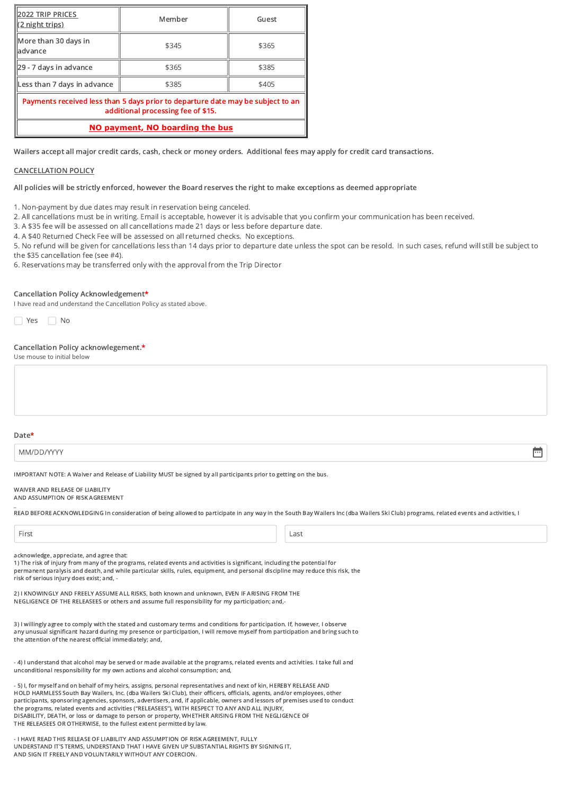| 2022 TRIP PRICES<br><u>(2 night trips)</u>                                                                            | Member | Guest |  |  |  |
|-----------------------------------------------------------------------------------------------------------------------|--------|-------|--|--|--|
| More than 30 days in<br>ladvance                                                                                      | \$345  | \$365 |  |  |  |
| 29 - 7 days in advance                                                                                                | \$365  | \$385 |  |  |  |
| Less than 7 days in advance                                                                                           | \$385  | \$405 |  |  |  |
| Payments received less than 5 days prior to departure date may be subject to an<br>additional processing fee of \$15. |        |       |  |  |  |
| NO payment, NO boarding the bus                                                                                       |        |       |  |  |  |

Wailers accept all major credit cards, cash, check or money orders. Additional fees may apply for credit card transactions.

### CANCELLATION POLICY

All policies will be strictly enforced, however the Board reserves the right to make exceptions as deemed appropriate

1. Non-payment by due dates may result in reservation being canceled.

2. All cancellations must be in writing. Email is acceptable, however it is advisable that you confirm your communication has been received.

3. A \$35 fee will be assessed on all cancellations made 21 days or less before departure date.

4. A \$40 Returned Check Fee will be assessed on all returned checks. No exceptions.

5. No refund will be given for cancellations less than 14 days prior to departure date unless the spot can be resold. In such cases, refund will still be subject to the \$35 cancellation fee (see #4).

6. Reservations may be transferred only with the approval from the Trip Director

#### Cancellation Policy Acknowledgement\*

I have read and understand the Cancellation Policy as stated above.

■ Yes ■ No

## Cancellation Policy acknowlegement.\*

Use mouse to initial below

#### Date\*

MM/DD/YYYY

IMPORTANT NOTE: A Waiver and Release of Liability MUST be signed by all participants prior to getting on the bus.

#### WAIVER AND RELEASE OF LIABILITY AND ASSUMPTION OF RISK AGREEMENT

READ BEFORE ACKNOWLEDGING In consideration of being allowed to participate in any way in the South Bay Wailers Inc (dba Wailers Ski Club) programs, related events and activities, I

| ×<br>×<br>×<br>$\sim$ |  | ٠ | v |  |
|-----------------------|--|---|---|--|
|-----------------------|--|---|---|--|

 $\overline{a}$ 

First Last

ö

acknowledge, appreciate, and agree that:

1) The risk of injury from many of the programs, related events and activities is significant, including the potential for permanent paralysis and death, and while particular skills, rules, equipment, and personal discipline may reduce this risk, the risk of serious injury does exist; and, -

2) I KNOWINGLY AND FREELY ASSUME ALL RISKS, both known and unknown, EVEN IF ARISING FROM THE NEGLIGENCE OF THE RELEASEES or others and assume full responsibility for my participation; and,-

3) I willingly agree to comply with the stated and customary terms and conditions for participation. If, however, I observe any unusual significant hazard during my presence or participation, I will remove myself from participation and bring such to the attention of the nearest official immediately; and,

- 4) I understand that alcohol may be served or made available at the programs, related events and activities. I take full and unconditional responsibility for my own actions and alcohol consumption; and,

- 5) I, for myself and on behalf of my heirs, assigns, personal representatives and next of kin, HEREBY RELEASE AND HOLD HARMLESS South Bay Wailers, Inc. (dba Wailers Ski Club), their officers, officials, agents, and/or employees, other participants, sponsoring agencies, sponsors, advertisers, and, if applicable, owners and lessors of premises used to conduct the programs, related events and activities ("RELEASEES"), WITH RESPECT TO ANY AND ALL INJURY, DISABILITY, DEATH, or loss or damage to person or property, WHETHER ARISING FROM THE NEGLIGENCE OF THE RELEASEES OR OTHERWISE, to the fullest extent permitted by law.

- I HAVE READ THIS RELEASE OF LIABILITY AND ASSUMPTION OF RISK AGREEMENT, FULLY UNDERSTAND IT'S TERMS, UNDERSTAND THAT I HAVE GIVEN UP SUBSTANTIAL RIGHTS BY SIGNING IT, AND SIGN IT FREELY AND VOLUNTARILY WITHOUT ANY COERCION.